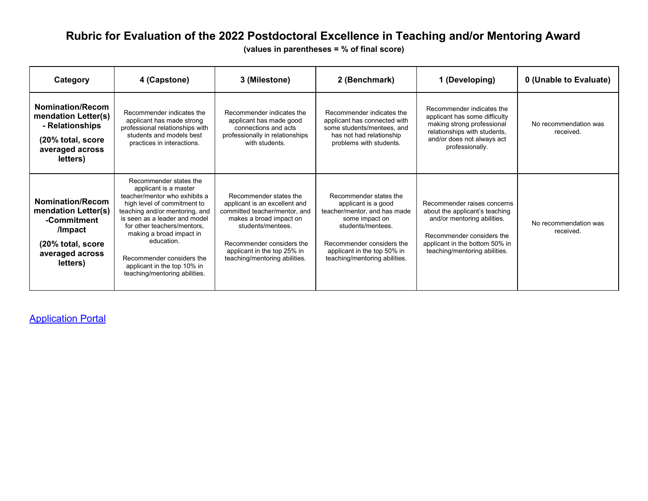## **Rubric for Evaluation of the 2022 Postdoctoral Excellence in Teaching and/or Mentoring Award**

**(values in parentheses = % of final score)**

| Category                                                                                                                     | 4 (Capstone)                                                                                                                                                                                                                                                                                                                                             | 3 (Milestone)                                                                                                                                                                                                                         | 2 (Benchmark)                                                                                                                                                                                                     | 1 (Developing)                                                                                                                                                                               | 0 (Unable to Evaluate)             |
|------------------------------------------------------------------------------------------------------------------------------|----------------------------------------------------------------------------------------------------------------------------------------------------------------------------------------------------------------------------------------------------------------------------------------------------------------------------------------------------------|---------------------------------------------------------------------------------------------------------------------------------------------------------------------------------------------------------------------------------------|-------------------------------------------------------------------------------------------------------------------------------------------------------------------------------------------------------------------|----------------------------------------------------------------------------------------------------------------------------------------------------------------------------------------------|------------------------------------|
| <b>Nomination/Recom</b><br>mendation Letter(s)<br>- Relationships<br>(20% total, score<br>averaged across<br>letters)        | Recommender indicates the<br>applicant has made strong<br>professional relationships with<br>students and models best<br>practices in interactions.                                                                                                                                                                                                      | Recommender indicates the<br>applicant has made good<br>connections and acts<br>professionally in relationships<br>with students.                                                                                                     | Recommender indicates the<br>applicant has connected with<br>some students/mentees, and<br>has not had relationship<br>problems with students.                                                                    | Recommender indicates the<br>applicant has some difficulty<br>making strong professional<br>relationships with students,<br>and/or does not always act<br>professionally.                    | No recommendation was<br>received. |
| <b>Nomination/Recom</b><br>mendation Letter(s)<br>-Commitment<br>/Impact<br>(20% total, score<br>averaged across<br>letters) | Recommender states the<br>applicant is a master<br>teacher/mentor who exhibits a<br>high level of commitment to<br>teaching and/or mentoring, and<br>is seen as a leader and model<br>for other teachers/mentors,<br>making a broad impact in<br>education.<br>Recommender considers the<br>applicant in the top 10% in<br>teaching/mentoring abilities. | Recommender states the<br>applicant is an excellent and<br>committed teacher/mentor, and<br>makes a broad impact on<br>students/mentees.<br>Recommender considers the<br>applicant in the top 25% in<br>teaching/mentoring abilities. | Recommender states the<br>applicant is a good<br>teacher/mentor, and has made<br>some impact on<br>students/mentees.<br>Recommender considers the<br>applicant in the top 50% in<br>teaching/mentoring abilities. | Recommender raises concerns<br>about the applicant's teaching<br>and/or mentoring abilities.<br>Recommender considers the<br>applicant in the bottom 50% in<br>teaching/mentoring abilities. | No recommendation was<br>received. |

**[Application Portal](https://msu.smapply.io/prog/post-doctoral_excellence_awards/)**